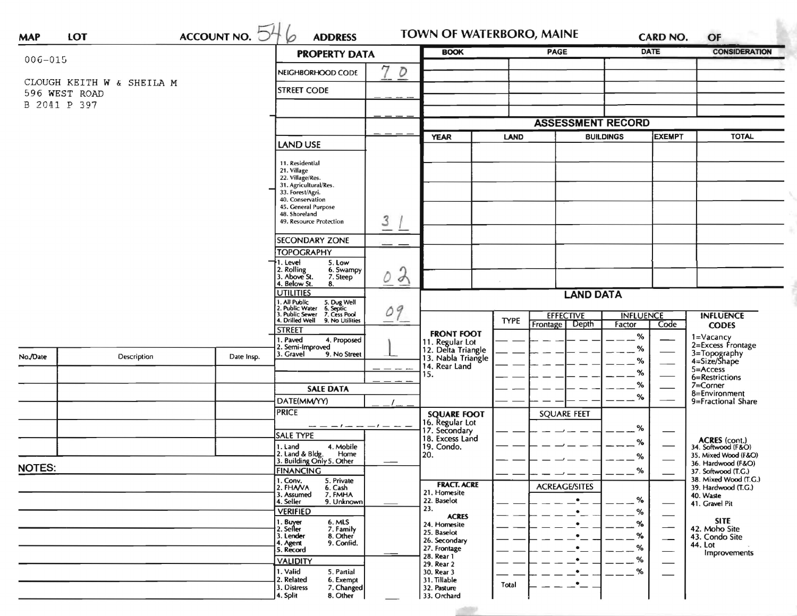| <b>MAP</b>    | <b>LOT</b>                    | $ACC$ OUNT NO. $54$  | <b>ADDRESS</b><br>6                                                                 |                | TOWN OF WATERBORO, MAINE                 |                          | <b>CARD NO.</b>          |                  | OF                                                      |                                              |
|---------------|-------------------------------|----------------------|-------------------------------------------------------------------------------------|----------------|------------------------------------------|--------------------------|--------------------------|------------------|---------------------------------------------------------|----------------------------------------------|
| $006 - 015$   |                               | <b>PROPERTY DATA</b> |                                                                                     | <b>BOOK</b>    |                                          | <b>PAGE</b>              |                          | <b>DATE</b>      | <b>CONSIDERATION</b>                                    |                                              |
|               |                               |                      | NEIGHBORHOOD CODE                                                                   | D              |                                          |                          |                          |                  |                                                         |                                              |
|               | CLOUGH KEITH W & SHEILA M     |                      | <b>STREET CODE</b>                                                                  |                |                                          |                          |                          |                  |                                                         |                                              |
|               | 596 WEST ROAD<br>B 2041 P 397 |                      |                                                                                     |                |                                          |                          |                          |                  |                                                         |                                              |
|               |                               |                      |                                                                                     |                |                                          |                          |                          |                  |                                                         |                                              |
|               |                               |                      |                                                                                     |                |                                          | <b>ASSESSMENT RECORD</b> |                          |                  |                                                         |                                              |
|               |                               |                      | <b>LAND USE</b>                                                                     |                | <b>YEAR</b>                              | LAND                     |                          | <b>BUILDINGS</b> | <b>EXEMPT</b>                                           | <b>TOTAL</b>                                 |
|               |                               |                      |                                                                                     |                |                                          |                          |                          |                  |                                                         |                                              |
|               |                               |                      | 11. Residential<br>21. Village                                                      |                |                                          |                          |                          |                  |                                                         |                                              |
|               |                               |                      | 22. Village/Res.<br>31. Agricultural/Res.                                           |                |                                          |                          |                          |                  |                                                         |                                              |
|               |                               |                      | 33. Forest/Agri.<br>40. Conservation                                                |                |                                          |                          |                          |                  |                                                         |                                              |
|               |                               |                      | 45. General Purpose                                                                 |                |                                          |                          |                          |                  |                                                         |                                              |
|               |                               |                      | 48. Shoreland<br>49. Resource Protection                                            | 3              |                                          |                          |                          |                  |                                                         |                                              |
|               |                               |                      |                                                                                     |                |                                          |                          |                          |                  |                                                         |                                              |
|               |                               |                      | <b>SECONDARY ZONE</b><br><b>TOPOGRAPHY</b>                                          |                |                                          |                          |                          |                  |                                                         |                                              |
|               |                               |                      | 1. Level<br>5. Low                                                                  |                |                                          |                          |                          |                  |                                                         |                                              |
|               |                               |                      | 2. Rolling<br>3. Above St.<br>6. Swampy<br>7. Steep                                 | $\lambda$<br>Õ |                                          |                          |                          |                  |                                                         |                                              |
|               |                               |                      | 4. Below St.<br>8.<br><b>UTILITIES</b>                                              |                |                                          |                          |                          |                  |                                                         |                                              |
|               |                               |                      |                                                                                     |                | <b>LAND DATA</b>                         |                          |                          |                  |                                                         |                                              |
|               |                               |                      | All Public 5. Dug Well<br>2. Public Water 6. Septic<br>3. Public Sewer 7. Cess Pool | 09             |                                          | <b>EFFECTIVE</b>         |                          | <b>INFLUENCE</b> |                                                         | <b>INFLUENCE</b>                             |
|               |                               |                      | 4. Drilled Well 9. No Utilities<br><b>STREET</b>                                    |                |                                          | <b>TYPE</b>              | Frontage<br>Depth        | Factor           | Code                                                    | <b>CODES</b>                                 |
|               |                               |                      | . Paved<br>4. Proposed                                                              |                | <b>FRONT FOOT</b><br>11. Regular Lot     |                          |                          | %                |                                                         | 1=Vacancy<br>2=Excess Frontage               |
| No./Date      | Description                   | Date Insp.           | 2. Semi-Improved<br>3. Gravel<br>9. No Street                                       |                | 12. Delta Triangle<br>13. Nabla Triangle |                          |                          | $\%$             |                                                         | 3=Topography<br>4=Size/Shape                 |
|               |                               |                      |                                                                                     |                | 14. Rear Land                            |                          |                          | %                |                                                         | $5 =$ Access                                 |
|               |                               |                      |                                                                                     |                | 15.                                      |                          |                          | %                |                                                         | 6=Restrictions                               |
|               |                               |                      | <b>SALE DATA</b>                                                                    |                |                                          |                          |                          | %                |                                                         | $7 =$ Corner<br>8=Environment                |
|               |                               |                      | DATE(MM/YY)                                                                         |                |                                          |                          |                          | %                |                                                         | 9=Fractional Share                           |
|               |                               |                      | <b>PRICE</b>                                                                        |                | <b>SQUARE FOOT</b><br>16. Regular Lot    |                          | <b>SQUARE FEET</b>       |                  |                                                         |                                              |
|               |                               |                      | $--- -1--- -1--- -1$<br>SALE TYPE                                                   |                | 17. Secondary                            |                          |                          | %                | –                                                       |                                              |
|               |                               |                      | 4. Mobile<br>1. Land                                                                |                | 18. Excess Land<br>19. Condo.            |                          |                          | %                |                                                         | ACRES (cont.)<br>34. Softwood (F&O)          |
|               |                               |                      | 2. Land & Bldg. Home<br>3. Building Only 5. Other<br>Home                           |                | 20.                                      |                          |                          | %                |                                                         | 35. Mixed Wood (F&O)                         |
| <b>NOTES:</b> |                               |                      | <b>FINANCING</b>                                                                    |                |                                          |                          | $\overline{\phantom{a}}$ | %<br>$- - -$     | $\overline{\phantom{a}}$                                | 36. Hardwood (F&O)<br>37. Softwood (T.G.)    |
|               |                               |                      | 1. Conv.<br>5. Private<br>2. FHAVA<br>6. Cash                                       |                | <b>FRACT. ACRE</b>                       |                          | <b>ACREAGE/SITES</b>     |                  |                                                         | 38. Mixed Wood (T.G.)<br>39. Hardwood (T.G.) |
|               |                               |                      | 3. Assumed<br>7. FMHA                                                               |                | 21. Homesite<br>22. Baselot              |                          | $\bullet$                | %                |                                                         | 40. Waste                                    |
|               |                               |                      | 9. Unknown<br>4. Seller<br><b>VERIFIED</b>                                          |                | 23.                                      |                          | $\bullet$                | %                | $\overbrace{\hspace{15em}}$                             | 41. Gravel Pit                               |
|               |                               |                      | 1. Buyer<br>2. Seller<br>6. MLS                                                     |                | <b>ACRES</b><br>24. Homesite             |                          | $\bullet$                | %                |                                                         | <b>SITE</b>                                  |
|               |                               |                      | 7. Family<br>8. Other<br>3. Lender                                                  |                | 25. Baselot                              |                          | $\bullet$                | $\%$             | $\overbrace{\hspace{15em}}$<br>$\overline{\phantom{0}}$ | 42. Moho Site<br>43. Condo Site              |
|               |                               |                      | 9. Confid.<br>4. Agent<br>5. Record                                                 |                | 26. Secondary<br>27. Frontage            |                          | ٠                        | %                | $\overbrace{\hspace{25mm}}^{}$                          | 44. Lot                                      |
|               |                               |                      | <b>VALIDITY</b>                                                                     |                | 28. Rear 1<br>29. Rear 2                 |                          | $\bullet$                | %                |                                                         | Improvements                                 |
|               |                               |                      | 1. Valid<br>5. Partial                                                              |                | 30. Rear 3                               |                          | $\bullet$                | %                |                                                         |                                              |
|               |                               |                      | 2. Related<br>6. Exempt<br>3. Distress<br>7. Changed                                |                | 31. Tillable<br>32. Pasture              | Total                    | $\cdot$ $-$              |                  |                                                         |                                              |
|               |                               |                      | 4. Split<br>8. Other                                                                |                | 33. Orchard                              |                          |                          |                  |                                                         |                                              |